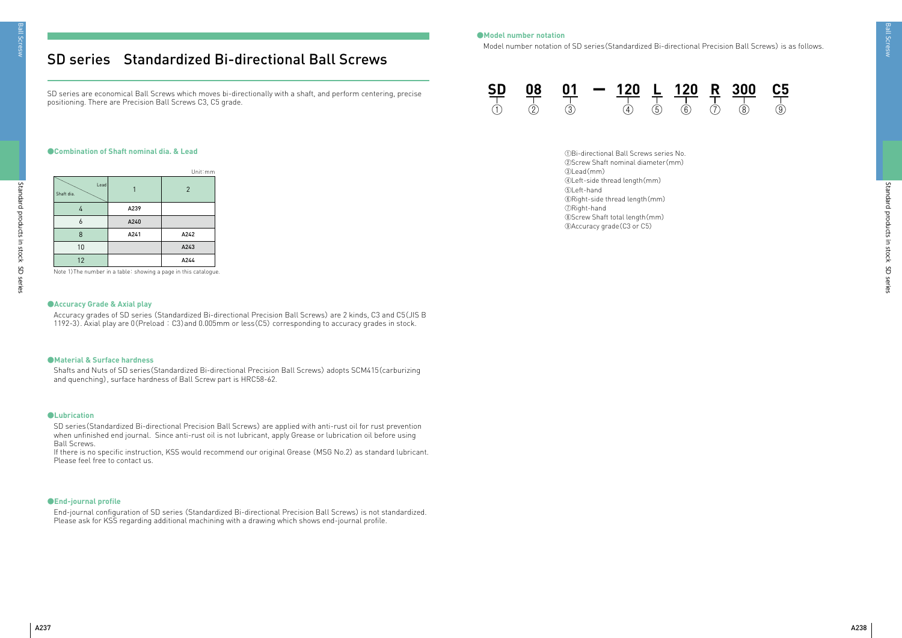Standard products in stock SD series

SD series

Standard products in stock

## SD series Standardized Bi-directional Ball Screws

### SD series are economical Ball Screws which moves bi-directionally with a shaft, and perform centering, precise positioning. There are Precision Ball Screws C3, C5 grade.

## **●Combination of Shaft nominal dia. & Lead**

### **●Accuracy Grade & Axial play**

Accuracy grades of SD series (Standardized Bi-directional Precision Ball Screws) are 2 kinds, C3 and C5(JIS B 1192-3). Axial play are 0(Preload : C3)and 0.005mm or less(C5) corresponding to accuracy grades in stock.

#### **●Model number notation**

Model number notation of SD series(Standardized Bi-directional Precision Ball Screws) is as follows.

#### **●Material & Surface hardness**

Shafts and Nuts of SD series(Standardized Bi-directional Precision Ball Screws) adopts SCM415(carburizing and quenching), surface hardness of Ball Screw part is HRC58-62.



### **●Lubrication**

SD series(Standardized Bi-directional Precision Ball Screws) are applied with anti-rust oil for rust prevention when unfinished end journal. Since anti-rust oil is not lubricant, apply Grease or lubrication oil before using Ball Screws.

If there is no specific instruction, KSS would recommend our original Grease (MSG No.2) as standard lubricant. Please feel free to contact us.

#### **●End-journal profile**

End-journal configuration of SD series (Standardized Bi-directional Precision Ball Screws) is not standardized. Please ask for KSS regarding additional machining with a drawing which shows end-journal profile.

Note 1)The number in a table: showing a page in this catalogue.

|      | Unit: mm       |
|------|----------------|
|      | $\overline{2}$ |
| A239 |                |
| A240 |                |
| A241 | A242           |
|      | A243           |
|      | A244           |
|      |                |

Bi-directional Ball Screws series No. Screw Shaft nominal diameter(mm) ③Lead(mm) Left-side thread length(mm) ⑤Left-hand Right-side thread length(mm) Right-hand Screw Shaft total length(mm) Accuracy grade(C3 or C5)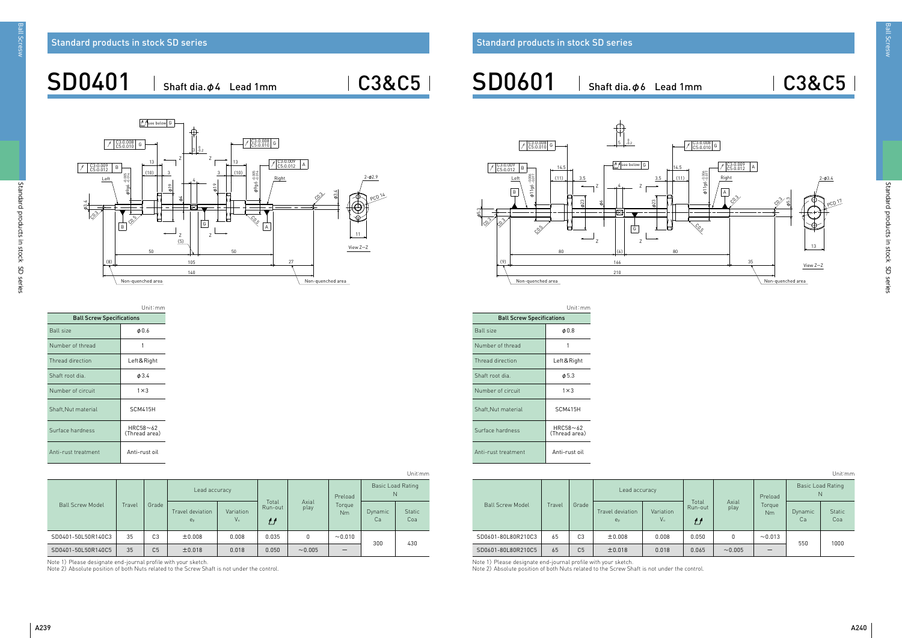| :<br>: |
|--------|
|        |
|        |
| י<br>ג |
|        |
|        |
|        |
|        |
|        |
| てこくらくら |
|        |
|        |
|        |
| 5      |
|        |
|        |
| ζ      |
| STOCK  |
|        |
|        |
|        |
|        |
|        |
|        |
| i      |
|        |
|        |
|        |

Ste

Standard products in stock SD series

Standard products in stock SD series

SD0401 | Shaft dia. *φ*4 Lead 1mm | C3&C5 |

|                         |        |                |                                    |                 |                        |               |              |                               | Unit:mm              |
|-------------------------|--------|----------------|------------------------------------|-----------------|------------------------|---------------|--------------|-------------------------------|----------------------|
|                         |        |                | Lead accuracy                      |                 |                        |               | Preload      | <b>Basic Load Rating</b><br>N |                      |
| <b>Ball Screw Model</b> | Travel | Grade          | Travel deviation<br>e <sub>p</sub> | Variation<br>Vu | Total<br>Run-out<br>IJ | Axial<br>play | Torque<br>Nm | Dynamic<br>Ca                 | <b>Static</b><br>Coa |
| SD0401-50L50R140C3      | 35     | C <sub>3</sub> | ±0.008                             | 0.008           | 0.035                  | 0             | ~10.010      | 300                           | 430                  |
| SD0401-50L50R140C5      | 35     | C <sub>5</sub> | ±0.018                             | 0.018           | 0.050                  | ~10.005       |              |                               |                      |

Note 1) Please designate end-journal profile with your sketch.

Note 2) Absolute position of both Nuts related to the Screw Shaft is not under the control.

|                                  | Unit∶mm                   |
|----------------------------------|---------------------------|
| <b>Ball Screw Specifications</b> |                           |
| <b>Ball size</b>                 | $\phi$ 0.6                |
| Number of thread                 | 1                         |
| Thread direction                 | Left&Right                |
| Shaft root dia.                  | $\phi$ 3.4                |
| Number of circuit                | $1 \times 3$              |
| Shaft,Nut material               | <b>SCM415H</b>            |
| Surface hardness                 | HRC58~62<br>(Thread area) |
| Anti-rust treatment              | Anti-rust oil             |





φ5.3

Unit:mm

|                         |        |                | Lead accuracy                      |                 |                                   |               | Preload      | <b>Basic Load Rating</b><br>Ν |                      |
|-------------------------|--------|----------------|------------------------------------|-----------------|-----------------------------------|---------------|--------------|-------------------------------|----------------------|
| <b>Ball Screw Model</b> | Travel | Grade          | Travel deviation<br>e <sub>p</sub> | Variation<br>Vu | Total<br>Run-out<br>$\mathcal{L}$ | Axial<br>play | Torque<br>Nm | Dynamic<br>Ca                 | <b>Static</b><br>Coa |
| SD0601-80L80R210C3      | 65     | C <sub>3</sub> | ±0.008                             | 0.008           | 0.050                             | 0             | ~10.013      | 550                           | 1000                 |
| SD0601-80L80R210C5      | 65     | C <sub>5</sub> | ±0.018                             | 0.018           | 0.065                             | $\sim 0.005$  |              |                               |                      |

Note 1) Please designate end-journal profile with your sketch.

Note 2) Absolute position of both Nuts related to the Screw Shaft is not under the control.

|                                  | Unit:mm                   |
|----------------------------------|---------------------------|
| <b>Ball Screw Specifications</b> |                           |
| Ball size                        | $\phi$ 0.8                |
| Number of thread                 | 1                         |
| Thread direction                 | Left & Right              |
| Shaft root dia.                  | $\phi$ 5.3                |
| Number of circuit                | $1 \times 3$              |
| Shaft, Nut material              | SCM415H                   |
| Surface hardness                 | HRC58~62<br>(Thread area) |
| Anti-rust treatment              | Anti-rust oil             |

SD0601 | Shaft dia. *φ* 6 Lead 1mm | C3&C5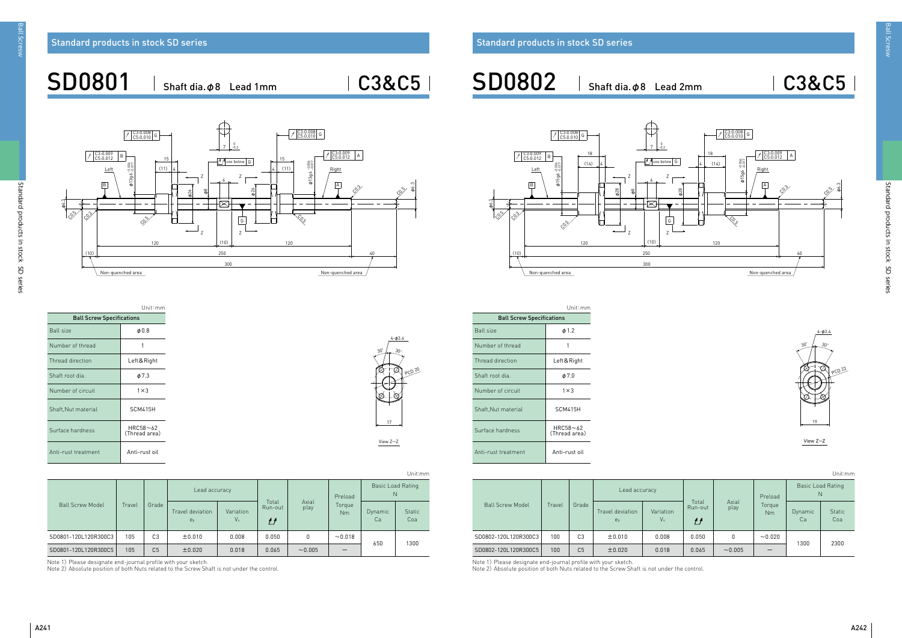Unit:mm

|                         |        |                |                             |                             |                        |               |              |                               | <b>UIII</b> UIIIIII  |
|-------------------------|--------|----------------|-----------------------------|-----------------------------|------------------------|---------------|--------------|-------------------------------|----------------------|
|                         |        |                | Lead accuracy               |                             |                        |               | Preload      | <b>Basic Load Rating</b><br>N |                      |
| <b>Ball Screw Model</b> | Travel | Grade          | Travel deviation<br>$e_{P}$ | Variation<br>V <sub>u</sub> | Total<br>Run-out<br>IJ | Axial<br>play | Torque<br>Nm | <b>Dynamic</b><br>Ca          | <b>Static</b><br>Coa |
| SD0801-120L120R300C3    | 105    | C <sub>3</sub> | ±0.010                      | 0.008                       | 0.050                  | 0             | ~10.018      | 650                           | 1300                 |
| SD0801-120L120R300C5    | 105    | C <sub>5</sub> | ±0.020                      | 0.018                       | 0.065                  | $\sim 0.005$  |              |                               |                      |
|                         |        |                |                             |                             |                        |               |              |                               |                      |

Note 1) Please designate end-journal profile with your sketch.

Note 2) Absolute position of both Nuts related to the Screw Shaft is not under the control.

# SD0801 | Shaft dia.φ8 Lead 1mm | C3&C5 |

|                         |        |                |                             |                 |                                   |               |              |                               | UNII mm              |
|-------------------------|--------|----------------|-----------------------------|-----------------|-----------------------------------|---------------|--------------|-------------------------------|----------------------|
|                         |        |                | Lead accuracy               |                 |                                   |               | Preload      | <b>Basic Load Rating</b><br>N |                      |
| <b>Ball Screw Model</b> | Travel | Grade          | Travel deviation<br>$e_{P}$ | Variation<br>Vu | Total<br>Run-out<br>$\mathcal{L}$ | Axial<br>play | Torque<br>Nm | Dynamic<br>Ca                 | <b>Static</b><br>Coa |
| SD0802-120L120R300C3    | 100    | C <sub>3</sub> | ±0.010                      | 0.008           | 0.050                             | 0             | ~10.020      | 1300                          | 2300                 |
| SD0802-120L120R300C5    | 100    | C <sub>5</sub> | ±0.020                      | 0.018           | 0.065                             | ~10.005       |              |                               |                      |
|                         |        |                |                             |                 |                                   |               |              |                               |                      |

Note 1) Please designate end-journal profile with your sketch.

Note 2) Absolute position of both Nuts related to the Screw Shaft is not under the control.

|                                  | Unit: mm                  |
|----------------------------------|---------------------------|
| <b>Ball Screw Specifications</b> |                           |
| <b>Ball size</b>                 | $\phi$ 0.8                |
| Number of thread                 |                           |
| Thread direction                 | Left&Right                |
| Shaft root dia.                  | $\phi$ 7.3                |
| Number of circuit                | $1 \times 3$              |
| Shaft, Nut material              | SCM415H                   |
| Surface hardness                 | HRC58~62<br>(Thread area) |
| Anti-rust treatment              | Anti-rust oil             |

SD0802 Shaft dia.φ8 Lead 2mm 38C5

| 66.3<br>$10^{69}$ | $\sqrt{2}$<br>$10^{37}$ | $\begin{array}{ c c c c c }\n\hline\n\text{C3:0.008} & \text{G} \\ \hline\n\text{C5:0.010} & \text{G}\n\end{array}$<br>$\overline{\phantom{a}}$<br>C3:0.009<br>C5:0.012<br>$\overline{B}$<br>15<br>$\phi$ 13g6 -0.006<br>(11)<br>Left<br>$\Delta$<br>$\overline{B}$<br>09.5<br>120 | $_{-0.2}^{0}$<br>7<br>$\sqrt{ }$ see below<br>G<br>Z<br>Z<br>6<br>$\phi$ 26<br>$\frac{8}{3}$<br>$\phi$ 26<br>$\geq$<br>G<br>$\overline{z}$<br>Z<br>(10) | $\frac{\begin{vmatrix} 0.3:0.008 & 0.008 \end{vmatrix}}{\begin{vmatrix} 0.5:0.010 & 0.008 \end{vmatrix}}$<br>$\overline{A}$<br>C3:0.009<br>C5:0.012<br>$\boldsymbol{d}$<br>А<br>15<br>$-0.006$<br>(11)<br>Right<br>4<br>¢13g6<br>$\overline{A}$<br>003<br>0059<br><b>Lection</b><br>120 | $\phi$ 6.3 |
|-------------------|-------------------------|------------------------------------------------------------------------------------------------------------------------------------------------------------------------------------------------------------------------------------------------------------------------------------|---------------------------------------------------------------------------------------------------------------------------------------------------------|-----------------------------------------------------------------------------------------------------------------------------------------------------------------------------------------------------------------------------------------------------------------------------------------|------------|
|                   | (10)                    |                                                                                                                                                                                                                                                                                    | 250                                                                                                                                                     | 40                                                                                                                                                                                                                                                                                      |            |
|                   |                         |                                                                                                                                                                                                                                                                                    | 300                                                                                                                                                     |                                                                                                                                                                                                                                                                                         |            |
|                   |                         | Non-quenched area                                                                                                                                                                                                                                                                  |                                                                                                                                                         | Non-quenched area                                                                                                                                                                                                                                                                       |            |

|                                  | Unit: mm                         |
|----------------------------------|----------------------------------|
| <b>Ball Screw Specifications</b> |                                  |
| <b>Ball size</b>                 | $\phi$ 1.2                       |
| Number of thread                 | 1                                |
| Thread direction                 | Left&Right                       |
| Shaft root dia.                  | $\phi$ 7.0                       |
| Number of circuit                | $1 \times 3$                     |
| Shaft, Nut material              | <b>SCM415H</b>                   |
| Surface hardness                 | HRC58 $\sim$ 62<br>(Thread area) |
| Anti-rust treatment              | Anti-rust oil                    |



30° 30°





 $View Z-Z$ 

 $\frac{1}{1 + \frac{1}{1 + \frac{1}{1 + \frac{1}{1 + \frac{1}{1 + \frac{1}{1 + \frac{1}{1 + \frac{1}{1 + \frac{1}{1 + \frac{1}{1 + \frac{1}{1 + \frac{1}{1 + \frac{1}{1 + \frac{1}{1 + \frac{1}{1 + \frac{1}{1 + \frac{1}{1 + \frac{1}{1 + \frac{1}{1 + \frac{1}{1 + \frac{1}{1 + \frac{1}{1 + \frac{1}{1 + \frac{1}{1 + \frac{1}{1 + \frac{1}{1 + \frac{1}{1 + \frac{1}{1 + \frac{1}{1 + \frac{1}{1 + \frac{1}{1 + \frac{$